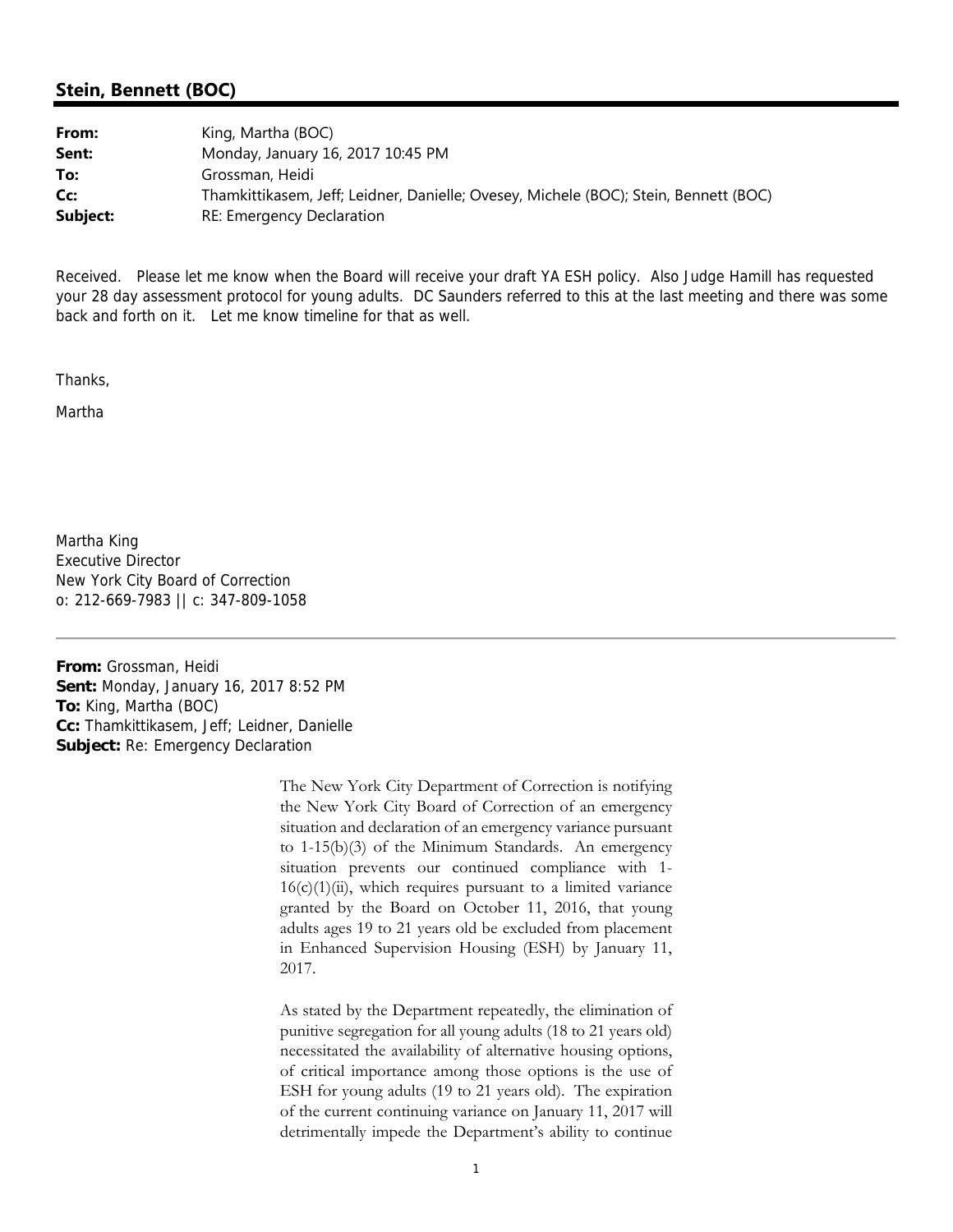**From:** Grossman, Heidi **Sent:** Monday, January 16, 2017 8:52 PM **To:** King, Martha (BOC) **Cc:** Thamkittikasem, Jeff; Leidner, Danielle **Subject:** Re: Emergency Declaration

> The New York City Department of Correction is notifying the New York City Board of Correction of an emergency situation and declaration of an emergency variance pursuant to 1-15(b)(3) of the Minimum Standards. An emergency situation prevents our continued compliance with 1-  $16(c)(1)(ii)$ , which requires pursuant to a limited variance granted by the Board on October 11, 2016, that young adults ages 19 to 21 years old be excluded from placement in Enhanced Supervision Housing (ESH) by January 11, 2017.

> As stated by the Department repeatedly, the elimination of punitive segregation for all young adults (18 to 21 years old) necessitated the availability of alternative housing options, of critical importance among those options is the use of ESH for young adults (19 to 21 years old). The expiration of the current continuing variance on January 11, 2017 will detrimentally impede the Department's ability to continue